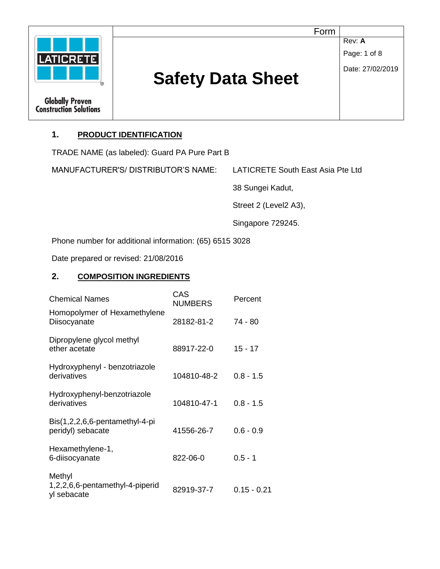|                                                         |                          | Form             |
|---------------------------------------------------------|--------------------------|------------------|
|                                                         |                          | Rev: A           |
| <b>LATICRETE</b>                                        |                          | Page: 1 of 8     |
|                                                         | <b>Safety Data Sheet</b> | Date: 27/02/2019 |
| <b>Globally Proven</b><br><b>Construction Solutions</b> |                          |                  |

# **1. PRODUCT IDENTIFICATION**

TRADE NAME (as labeled): Guard PA Pure Part B

MANUFACTURER'S/ DISTRIBUTOR'S NAME: LATICRETE South East Asia Pte Ltd

38 Sungei Kadut,

Street 2 (Level2 A3),

Singapore 729245.

Phone number for additional information: (65) 6515 3028

Date prepared or revised: 21/08/2016

## **2. COMPOSITION INGREDIENTS**

| <b>Chemical Names</b>                                    | CAS<br><b>NUMBERS</b> | Percent       |
|----------------------------------------------------------|-----------------------|---------------|
| Homopolymer of Hexamethylene<br>Diisocyanate             | 28182-81-2            | 74 - 80       |
| Dipropylene glycol methyl<br>ether acetate               | 88917-22-0            | $15 - 17$     |
| Hydroxyphenyl - benzotriazole<br>derivatives             | 104810-48-2           | $0.8 - 1.5$   |
| Hydroxyphenyl-benzotriazole<br>derivatives               | 104810-47-1           | $0.8 - 1.5$   |
| Bis(1,2,2,6,6-pentamethyl-4-pi<br>peridyl) sebacate      | 41556-26-7            | $0.6 - 0.9$   |
| Hexamethylene-1,<br>6-diisocyanate                       | 822-06-0              | $0.5 - 1$     |
| Methyl<br>1,2,2,6,6-pentamethyl-4-piperid<br>yl sebacate | 82919-37-7            | $0.15 - 0.21$ |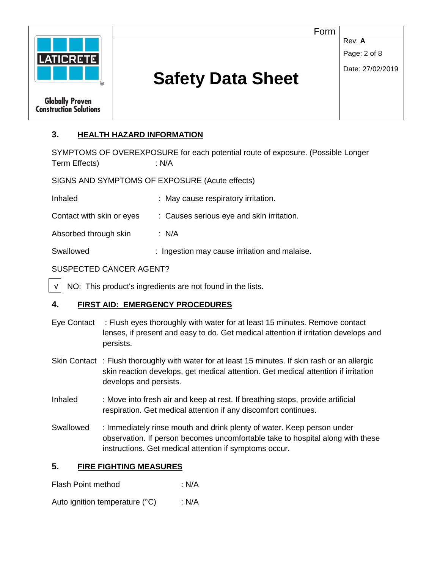

## **3. HEALTH HAZARD INFORMATION**

SYMPTOMS OF OVEREXPOSURE for each potential route of exposure. (Possible Longer Term Effects) : N/A

SIGNS AND SYMPTOMS OF EXPOSURE (Acute effects)

Inhaled : May cause respiratory irritation.

Contact with skin or eyes : Causes serious eye and skin irritation.

Absorbed through skin : N/A

Swallowed : Ingestion may cause irritation and malaise.

#### SUSPECTED CANCER AGENT?

 NO: This product's ingredients are not found in the lists. √

#### **4. FIRST AID: EMERGENCY PROCEDURES**

- Eye Contact : Flush eyes thoroughly with water for at least 15 minutes. Remove contact lenses, if present and easy to do. Get medical attention if irritation develops and persists.
- Skin Contact : Flush thoroughly with water for at least 15 minutes. If skin rash or an allergic skin reaction develops, get medical attention. Get medical attention if irritation develops and persists.
- Inhaled : Move into fresh air and keep at rest. If breathing stops, provide artificial respiration. Get medical attention if any discomfort continues.
- Swallowed : Immediately rinse mouth and drink plenty of water. Keep person under observation. If person becomes uncomfortable take to hospital along with these instructions. Get medical attention if symptoms occur.

#### **5. FIRE FIGHTING MEASURES**

Flash Point method : N/A

Auto ignition temperature (°C) : N/A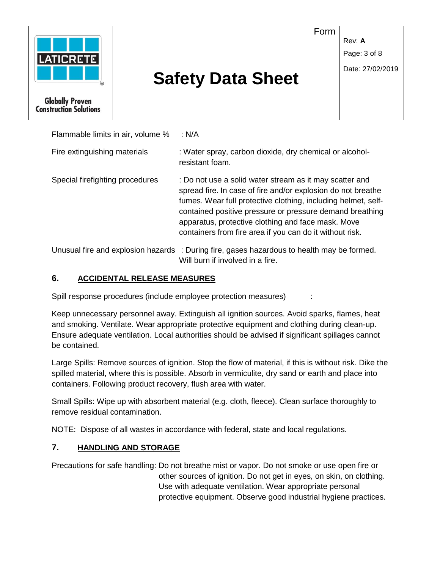

Flammable limits in air, volume % : N/A Fire extinguishing materials : Water spray, carbon dioxide, dry chemical or alcoholresistant foam.

Special firefighting procedures : Do not use a solid water stream as it may scatter and spread fire. In case of fire and/or explosion do not breathe fumes. Wear full protective clothing, including helmet, selfcontained positive pressure or pressure demand breathing apparatus, protective clothing and face mask. Move containers from fire area if you can do it without risk.

Unusual fire and explosion hazards : During fire, gases hazardous to health may be formed. Will burn if involved in a fire.

# **6. ACCIDENTAL RELEASE MEASURES**

Spill response procedures (include employee protection measures) :

Keep unnecessary personnel away. Extinguish all ignition sources. Avoid sparks, flames, heat and smoking. Ventilate. Wear appropriate protective equipment and clothing during clean-up. Ensure adequate ventilation. Local authorities should be advised if significant spillages cannot be contained.

Large Spills: Remove sources of ignition. Stop the flow of material, if this is without risk. Dike the spilled material, where this is possible. Absorb in vermiculite, dry sand or earth and place into containers. Following product recovery, flush area with water.

Small Spills: Wipe up with absorbent material (e.g. cloth, fleece). Clean surface thoroughly to remove residual contamination.

NOTE: Dispose of all wastes in accordance with federal, state and local regulations.

# **7. HANDLING AND STORAGE**

Precautions for safe handling: Do not breathe mist or vapor. Do not smoke or use open fire or other sources of ignition. Do not get in eyes, on skin, on clothing. Use with adequate ventilation. Wear appropriate personal protective equipment. Observe good industrial hygiene practices.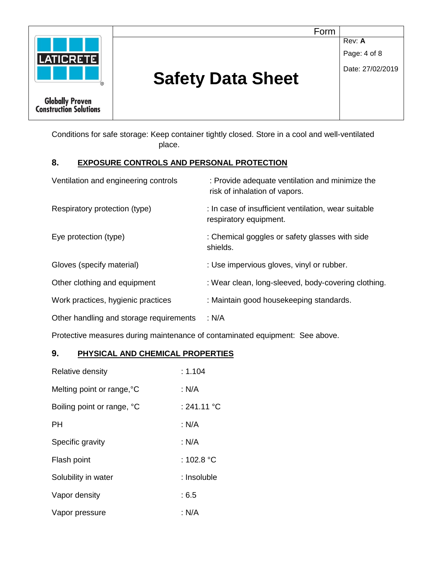

Conditions for safe storage: Keep container tightly closed. Store in a cool and well-ventilated place.

#### **8. EXPOSURE CONTROLS AND PERSONAL PROTECTION**

| Ventilation and engineering controls    | : Provide adequate ventilation and minimize the<br>risk of inhalation of vapors. |
|-----------------------------------------|----------------------------------------------------------------------------------|
| Respiratory protection (type)           | : In case of insufficient ventilation, wear suitable<br>respiratory equipment.   |
| Eye protection (type)                   | : Chemical goggles or safety glasses with side<br>shields.                       |
| Gloves (specify material)               | : Use impervious gloves, vinyl or rubber.                                        |
| Other clothing and equipment            | : Wear clean, long-sleeved, body-covering clothing.                              |
| Work practices, hygienic practices      | : Maintain good housekeeping standards.                                          |
| Other handling and storage requirements | : N/A                                                                            |

Protective measures during maintenance of contaminated equipment: See above.

## **9. PHYSICAL AND CHEMICAL PROPERTIES**

| Relative density           | : 1.104              |
|----------------------------|----------------------|
| Melting point or range, °C | : N/A                |
| Boiling point or range, °C | : 241.11 °C          |
| PН                         | : N/A                |
| Specific gravity           | : N/A                |
| Flash point                | : 102.8 $^{\circ}$ C |
| Solubility in water        | : Insoluble          |
| Vapor density              | :6.5                 |
| Vapor pressure             | : N/A                |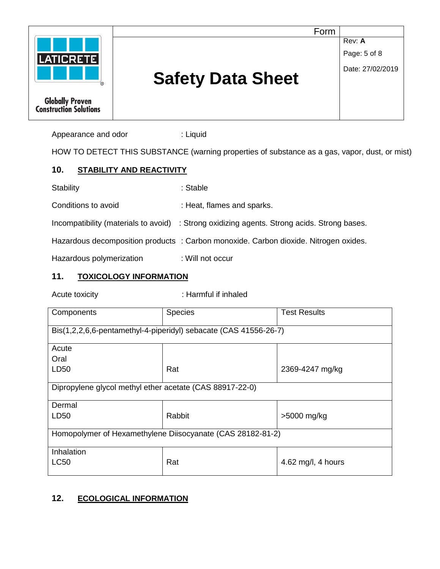

Appearance and odor : Liquid

HOW TO DETECT THIS SUBSTANCE (warning properties of substance as a gas, vapor, dust, or mist)

#### **10. STABILITY AND REACTIVITY**

Stability : Stable : Stable

Conditions to avoid : Heat, flames and sparks.

Incompatibility (materials to avoid) : Strong oxidizing agents. Strong acids. Strong bases.

Hazardous decomposition products : Carbon monoxide. Carbon dioxide. Nitrogen oxides.

Hazardous polymerization : Will not occur

#### **11. TOXICOLOGY INFORMATION**

Acute toxicity **in the case of the CACC** : Harmful if inhaled

| Components                                                       | <b>Species</b> | <b>Test Results</b> |  |  |
|------------------------------------------------------------------|----------------|---------------------|--|--|
| Bis(1,2,2,6,6-pentamethyl-4-piperidyl) sebacate (CAS 41556-26-7) |                |                     |  |  |
| Acute                                                            |                |                     |  |  |
| Oral                                                             |                |                     |  |  |
| LD50                                                             | Rat            | 2369-4247 mg/kg     |  |  |
| Dipropylene glycol methyl ether acetate (CAS 88917-22-0)         |                |                     |  |  |
| Dermal                                                           |                |                     |  |  |
| LD50                                                             | Rabbit         | >5000 mg/kg         |  |  |
| Homopolymer of Hexamethylene Diisocyanate (CAS 28182-81-2)       |                |                     |  |  |
| Inhalation                                                       |                |                     |  |  |
| <b>LC50</b>                                                      | Rat            | 4.62 mg/l, 4 hours  |  |  |

# **12. ECOLOGICAL INFORMATION**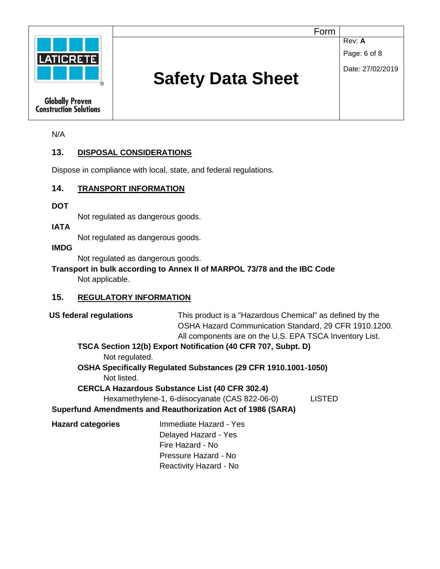

**Rev: A** 

Page: 6 of 8

Date: 27/02/2019

# **Safety Data Sheet**

**Globally Proven Construction Solutions** 

N/A

# **13. DISPOSAL CONSIDERATIONS**

Dispose in compliance with local, state, and federal regulations.

# **14. TRANSPORT INFORMATION**

**DOT** 

Not regulated as dangerous goods.

#### **IATA**

Not regulated as dangerous goods.

#### **IMDG**

Not regulated as dangerous goods.

## **Transport in bulk according to Annex II of MARPOL 73/78 and the IBC Code** Not applicable.

# **15. REGULATORY INFORMATION**

| <b>US federal regulations</b>                                   |                                                                | This product is a "Hazardous Chemical" as defined by the<br>OSHA Hazard Communication Standard, 29 CFR 1910.1200.<br>All components are on the U.S. EPA TSCA Inventory List. |  |  |
|-----------------------------------------------------------------|----------------------------------------------------------------|------------------------------------------------------------------------------------------------------------------------------------------------------------------------------|--|--|
|                                                                 | TSCA Section 12(b) Export Notification (40 CFR 707, Subpt. D)  |                                                                                                                                                                              |  |  |
| Not regulated.                                                  |                                                                |                                                                                                                                                                              |  |  |
|                                                                 | OSHA Specifically Regulated Substances (29 CFR 1910.1001-1050) |                                                                                                                                                                              |  |  |
| Not listed.                                                     |                                                                |                                                                                                                                                                              |  |  |
|                                                                 | <b>CERCLA Hazardous Substance List (40 CFR 302.4)</b>          |                                                                                                                                                                              |  |  |
| Hexamethylene-1, 6-diisocyanate (CAS 822-06-0)<br><b>LISTED</b> |                                                                |                                                                                                                                                                              |  |  |
|                                                                 | Superfund Amendments and Reauthorization Act of 1986 (SARA)    |                                                                                                                                                                              |  |  |
| <b>Hazard categories</b>                                        | Immediate Hazard - Yes                                         |                                                                                                                                                                              |  |  |
|                                                                 | Delayed Hazard - Yes                                           |                                                                                                                                                                              |  |  |
|                                                                 | Fire Hazard - No                                               |                                                                                                                                                                              |  |  |
|                                                                 | Pressure Hazard - No                                           |                                                                                                                                                                              |  |  |
|                                                                 | Reactivity Hazard - No                                         |                                                                                                                                                                              |  |  |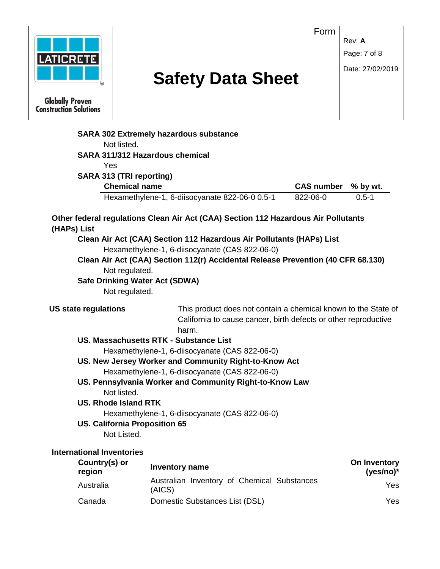|                                                         |                                                                                    | Form                            |                             |
|---------------------------------------------------------|------------------------------------------------------------------------------------|---------------------------------|-----------------------------|
|                                                         |                                                                                    |                                 | Rev: A                      |
| <b>LATICRETE</b>                                        |                                                                                    |                                 | Page: 7 of 8                |
|                                                         |                                                                                    |                                 | Date: 27/02/2019            |
|                                                         | <b>Safety Data Sheet</b>                                                           |                                 |                             |
|                                                         |                                                                                    |                                 |                             |
| <b>Globally Proven</b><br><b>Construction Solutions</b> |                                                                                    |                                 |                             |
|                                                         | <b>SARA 302 Extremely hazardous substance</b>                                      |                                 |                             |
| Not listed.                                             |                                                                                    |                                 |                             |
|                                                         | <b>SARA 311/312 Hazardous chemical</b>                                             |                                 |                             |
| Yes                                                     |                                                                                    |                                 |                             |
| <b>SARA 313 (TRI reporting)</b><br><b>Chemical name</b> |                                                                                    |                                 |                             |
|                                                         | Hexamethylene-1, 6-diisocyanate 822-06-0 0.5-1                                     | CAS number % by wt.<br>822-06-0 | $0.5 - 1$                   |
|                                                         |                                                                                    |                                 |                             |
|                                                         | Other federal regulations Clean Air Act (CAA) Section 112 Hazardous Air Pollutants |                                 |                             |
| (HAPs) List                                             |                                                                                    |                                 |                             |
|                                                         | Clean Air Act (CAA) Section 112 Hazardous Air Pollutants (HAPs) List               |                                 |                             |
|                                                         |                                                                                    |                                 |                             |
|                                                         | Hexamethylene-1, 6-diisocyanate (CAS 822-06-0)                                     |                                 |                             |
|                                                         | Clean Air Act (CAA) Section 112(r) Accidental Release Prevention (40 CFR 68.130)   |                                 |                             |
| Not regulated.                                          |                                                                                    |                                 |                             |
| <b>Safe Drinking Water Act (SDWA)</b>                   |                                                                                    |                                 |                             |
| Not regulated.                                          |                                                                                    |                                 |                             |
| <b>US state regulations</b>                             | This product does not contain a chemical known to the State of                     |                                 |                             |
|                                                         | California to cause cancer, birth defects or other reproductive                    |                                 |                             |
|                                                         | harm.                                                                              |                                 |                             |
|                                                         | US. Massachusetts RTK - Substance List                                             |                                 |                             |
|                                                         | Hexamethylene-1, 6-diisocyanate (CAS 822-06-0)                                     |                                 |                             |
|                                                         | US. New Jersey Worker and Community Right-to-Know Act                              |                                 |                             |
|                                                         | Hexamethylene-1, 6-diisocyanate (CAS 822-06-0)                                     |                                 |                             |
|                                                         | US. Pennsylvania Worker and Community Right-to-Know Law                            |                                 |                             |
| Not listed.                                             |                                                                                    |                                 |                             |
| <b>US. Rhode Island RTK</b>                             |                                                                                    |                                 |                             |
|                                                         | Hexamethylene-1, 6-diisocyanate (CAS 822-06-0)                                     |                                 |                             |
| <b>US. California Proposition 65</b><br>Not Listed.     |                                                                                    |                                 |                             |
|                                                         |                                                                                    |                                 |                             |
| <b>International Inventories</b>                        |                                                                                    |                                 |                             |
| Country(s) or<br>region                                 | Inventory name                                                                     |                                 | On Inventory<br>$(yes/no)*$ |
| Australia                                               | Australian Inventory of Chemical Substances<br>(AICS)                              |                                 | Yes                         |